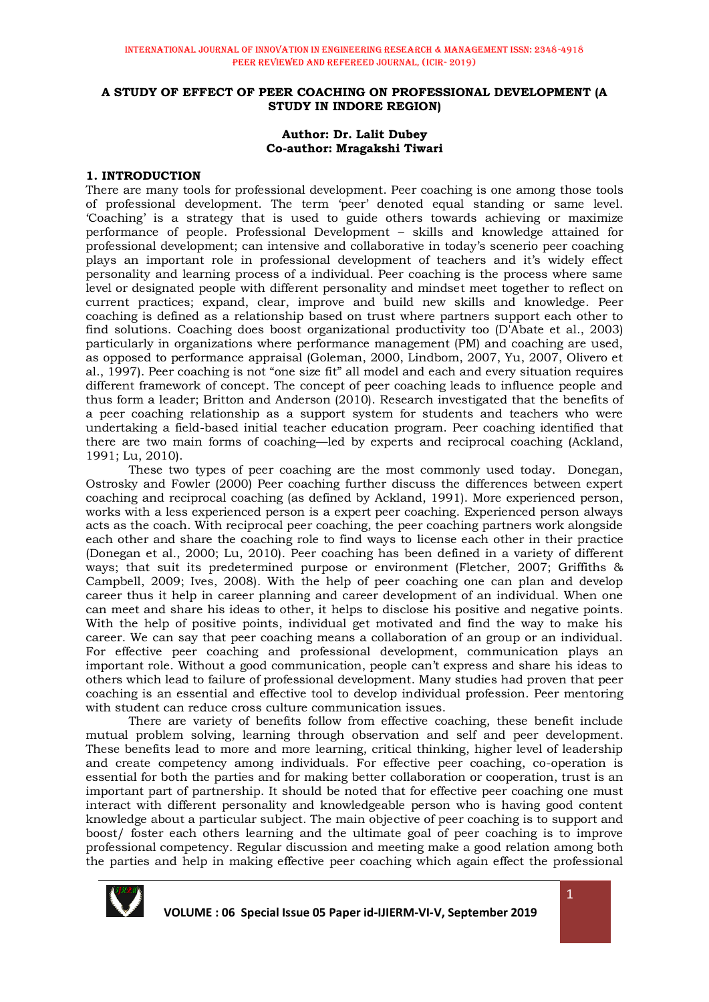#### **A STUDY OF EFFECT OF PEER COACHING ON PROFESSIONAL DEVELOPMENT (A STUDY IN INDORE REGION)**

#### **Author: Dr. Lalit Dubey Co-author: Mragakshi Tiwari**

#### **1. INTRODUCTION**

There are many tools for professional development. Peer coaching is one among those tools of professional development. The term 'peer' denoted equal standing or same level. 'Coaching' is a strategy that is used to guide others towards achieving or maximize performance of people. Professional Development – skills and knowledge attained for professional development; can intensive and collaborative in today's scenerio peer coaching plays an important role in professional development of teachers and it's widely effect personality and learning process of a individual. Peer coaching is the process where same level or designated people with different personality and mindset meet together to reflect on current practices; expand, clear, improve and build new skills and knowledge. Peer coaching is defined as a relationship based on trust where partners support each other to find solutions. Coaching does boost organizational productivity too (D'Abate et al., 2003) particularly in organizations where performance management (PM) and coaching are used, as opposed to performance appraisal (Goleman, 2000, Lindbom, 2007, Yu, 2007, Olivero et al., 1997). Peer coaching is not "one size fit" all model and each and every situation requires different framework of concept. The concept of peer coaching leads to influence people and thus form a leader; Britton and Anderson (2010). Research investigated that the benefits of a peer coaching relationship as a support system for students and teachers who were undertaking a field-based initial teacher education program. Peer coaching identified that there are two main forms of coaching—led by experts and reciprocal coaching (Ackland, 1991; Lu, 2010).

These two types of peer coaching are the most commonly used today. Donegan, Ostrosky and Fowler (2000) Peer coaching further discuss the differences between expert coaching and reciprocal coaching (as defined by Ackland, 1991). More experienced person, works with a less experienced person is a expert peer coaching. Experienced person always acts as the coach. With reciprocal peer coaching, the peer coaching partners work alongside each other and share the coaching role to find ways to license each other in their practice (Donegan et al., 2000; Lu, 2010). Peer coaching has been defined in a variety of different ways; that suit its predetermined purpose or environment (Fletcher, 2007; Griffiths & Campbell, 2009; Ives, 2008). With the help of peer coaching one can plan and develop career thus it help in career planning and career development of an individual. When one can meet and share his ideas to other, it helps to disclose his positive and negative points. With the help of positive points, individual get motivated and find the way to make his career. We can say that peer coaching means a collaboration of an group or an individual. For effective peer coaching and professional development, communication plays an important role. Without a good communication, people can't express and share his ideas to others which lead to failure of professional development. Many studies had proven that peer coaching is an essential and effective tool to develop individual profession. Peer mentoring with student can reduce cross culture communication issues.

There are variety of benefits follow from effective coaching, these benefit include mutual problem solving, learning through observation and self and peer development. These benefits lead to more and more learning, critical thinking, higher level of leadership and create competency among individuals. For effective peer coaching, co-operation is essential for both the parties and for making better collaboration or cooperation, trust is an important part of partnership. It should be noted that for effective peer coaching one must interact with different personality and knowledgeable person who is having good content knowledge about a particular subject. The main objective of peer coaching is to support and boost/ foster each others learning and the ultimate goal of peer coaching is to improve professional competency. Regular discussion and meeting make a good relation among both the parties and help in making effective peer coaching which again effect the professional



1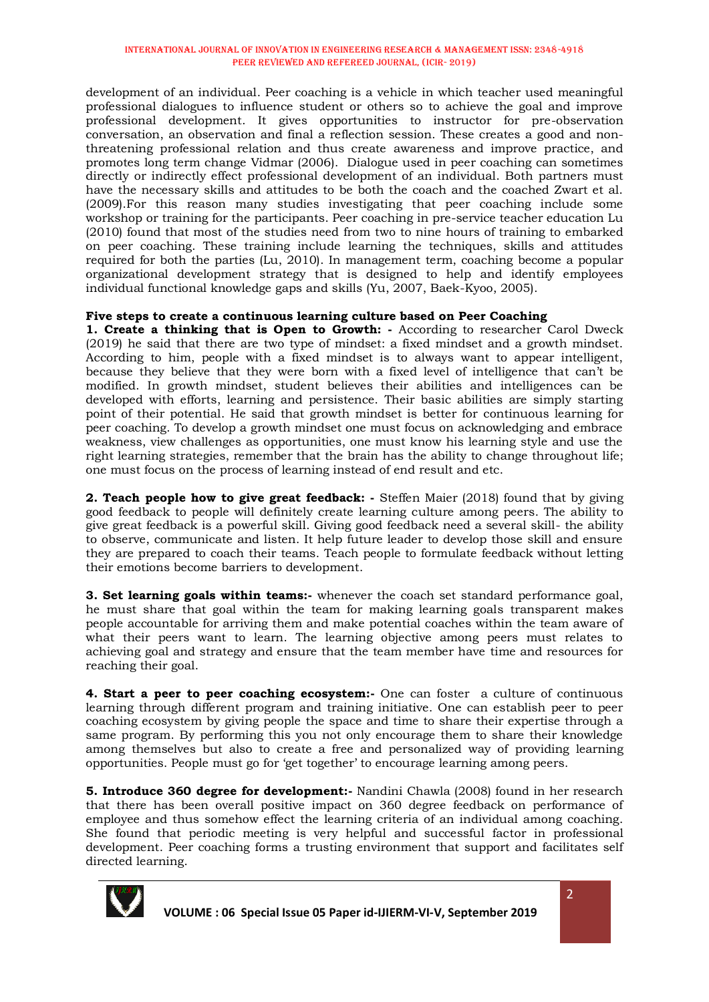#### INTERNATIONAL JOURNAL OF INNOVATION IN ENGINEERING RESEARCH & MANAGEMENT ISSN: 2348-4918 Peer Reviewed and Refereed Journal, (ICIR- 2019)

development of an individual. Peer coaching is a vehicle in which teacher used meaningful professional dialogues to influence student or others so to achieve the goal and improve professional development. It gives opportunities to instructor for pre-observation conversation, an observation and final a reflection session. These creates a good and nonthreatening professional relation and thus create awareness and improve practice, and promotes long term change Vidmar (2006). Dialogue used in peer coaching can sometimes directly or indirectly effect professional development of an individual. Both partners must have the necessary skills and attitudes to be both the coach and the coached Zwart et al. (2009).For this reason many studies investigating that peer coaching include some workshop or training for the participants. Peer coaching in pre-service teacher education Lu (2010) found that most of the studies need from two to nine hours of training to embarked on peer coaching. These training include learning the techniques, skills and attitudes required for both the parties (Lu, 2010). In management term, coaching become a popular organizational development strategy that is designed to help and identify employees individual functional knowledge gaps and skills (Yu, 2007, Baek-Kyoo, 2005).

# **Five steps to create a continuous learning culture based on Peer Coaching**

**1. Create a thinking that is Open to Growth: -** According to researcher Carol Dweck (2019) he said that there are two type of mindset: a fixed mindset and a growth mindset. According to him, people with a fixed mindset is to always want to appear intelligent, because they believe that they were born with a fixed level of intelligence that can't be modified. In growth mindset, student believes their abilities and intelligences can be developed with efforts, learning and persistence. Their basic abilities are simply starting point of their potential. He said that growth mindset is better for continuous learning for peer coaching. To develop a growth mindset one must focus on acknowledging and embrace weakness, view challenges as opportunities, one must know his learning style and use the right learning strategies, remember that the brain has the ability to change throughout life; one must focus on the process of learning instead of end result and etc.

**2. Teach people how to give great feedback: -** Steffen Maier (2018) found that by giving good feedback to people will definitely create learning culture among peers. The ability to give great feedback is a powerful skill. Giving good feedback need a several skill- the ability to observe, communicate and listen. It help future leader to develop those skill and ensure they are prepared to coach their teams. Teach people to formulate feedback without letting their emotions become barriers to development.

**3. Set learning goals within teams:-** whenever the coach set standard performance goal, he must share that goal within the team for making learning goals transparent makes people accountable for arriving them and make potential coaches within the team aware of what their peers want to learn. The learning objective among peers must relates to achieving goal and strategy and ensure that the team member have time and resources for reaching their goal.

**4. Start a peer to peer coaching ecosystem:-** One can foster a culture of continuous learning through different program and training initiative. One can establish peer to peer coaching ecosystem by giving people the space and time to share their expertise through a same program. By performing this you not only encourage them to share their knowledge among themselves but also to create a free and personalized way of providing learning opportunities. People must go for 'get together' to encourage learning among peers.

**5. Introduce 360 degree for development:-** Nandini Chawla (2008) found in her research that there has been overall positive impact on 360 degree feedback on performance of employee and thus somehow effect the learning criteria of an individual among coaching. She found that periodic meeting is very helpful and successful factor in professional development. Peer coaching forms a trusting environment that support and facilitates self directed learning.

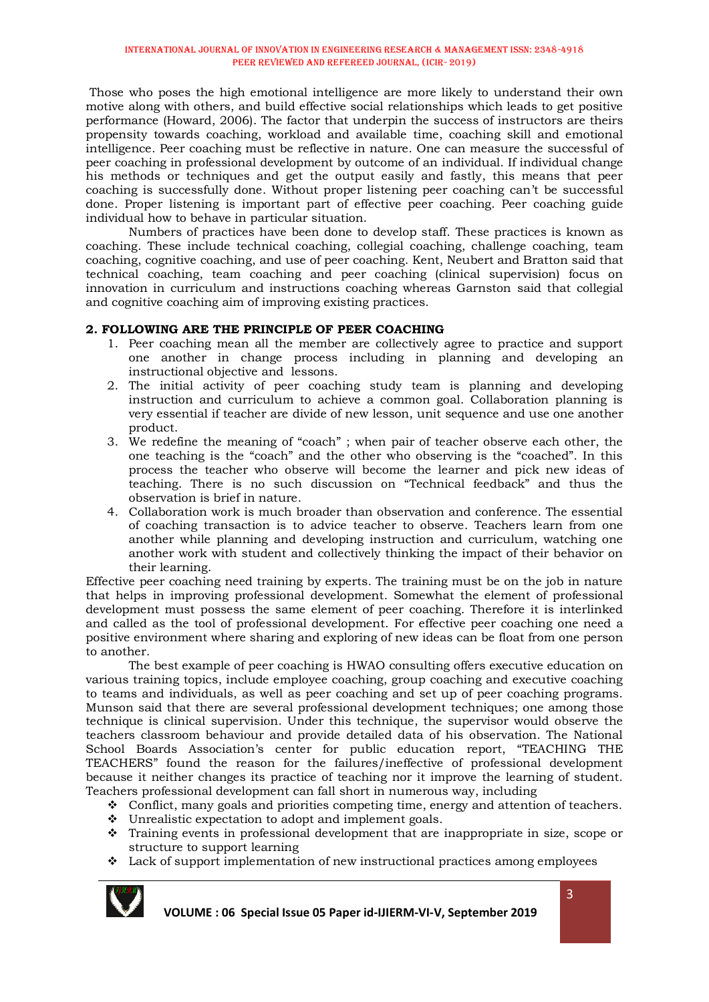Those who poses the high emotional intelligence are more likely to understand their own motive along with others, and build effective social relationships which leads to get positive performance (Howard, 2006). The factor that underpin the success of instructors are theirs propensity towards coaching, workload and available time, coaching skill and emotional intelligence. Peer coaching must be reflective in nature. One can measure the successful of peer coaching in professional development by outcome of an individual. If individual change his methods or techniques and get the output easily and fastly, this means that peer coaching is successfully done. Without proper listening peer coaching can't be successful done. Proper listening is important part of effective peer coaching. Peer coaching guide individual how to behave in particular situation.

Numbers of practices have been done to develop staff. These practices is known as coaching. These include technical coaching, collegial coaching, challenge coaching, team coaching, cognitive coaching, and use of peer coaching. Kent, Neubert and Bratton said that technical coaching, team coaching and peer coaching (clinical supervision) focus on innovation in curriculum and instructions coaching whereas Garnston said that collegial and cognitive coaching aim of improving existing practices.

# **2. FOLLOWING ARE THE PRINCIPLE OF PEER COACHING**

- 1. Peer coaching mean all the member are collectively agree to practice and support one another in change process including in planning and developing an instructional objective and lessons.
- 2. The initial activity of peer coaching study team is planning and developing instruction and curriculum to achieve a common goal. Collaboration planning is very essential if teacher are divide of new lesson, unit sequence and use one another product.
- 3. We redefine the meaning of "coach" ; when pair of teacher observe each other, the one teaching is the "coach" and the other who observing is the "coached". In this process the teacher who observe will become the learner and pick new ideas of teaching. There is no such discussion on "Technical feedback" and thus the observation is brief in nature.
- 4. Collaboration work is much broader than observation and conference. The essential of coaching transaction is to advice teacher to observe. Teachers learn from one another while planning and developing instruction and curriculum, watching one another work with student and collectively thinking the impact of their behavior on their learning.

Effective peer coaching need training by experts. The training must be on the job in nature that helps in improving professional development. Somewhat the element of professional development must possess the same element of peer coaching. Therefore it is interlinked and called as the tool of professional development. For effective peer coaching one need a positive environment where sharing and exploring of new ideas can be float from one person to another.

The best example of peer coaching is HWAO consulting offers executive education on various training topics, include employee coaching, group coaching and executive coaching to teams and individuals, as well as peer coaching and set up of peer coaching programs. Munson said that there are several professional development techniques; one among those technique is clinical supervision. Under this technique, the supervisor would observe the teachers classroom behaviour and provide detailed data of his observation. The National School Boards Association's center for public education report, "TEACHING THE TEACHERS" found the reason for the failures/ineffective of professional development because it neither changes its practice of teaching nor it improve the learning of student. Teachers professional development can fall short in numerous way, including

- $\div$  Conflict, many goals and priorities competing time, energy and attention of teachers.
- Unrealistic expectation to adopt and implement goals.
- Training events in professional development that are inappropriate in size, scope or structure to support learning
- Lack of support implementation of new instructional practices among employees



 **VOLUME : 06 Special Issue 05 Paper id-IJIERM-VI-V, September 2019**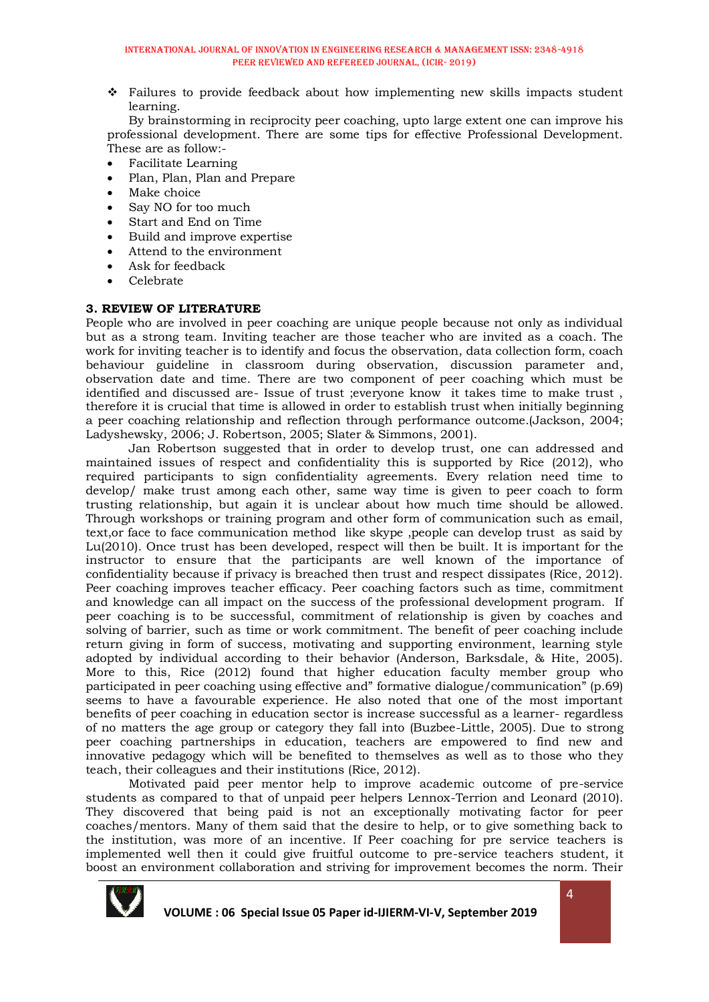Failures to provide feedback about how implementing new skills impacts student learning.

By brainstorming in reciprocity peer coaching, upto large extent one can improve his professional development. There are some tips for effective Professional Development. These are as follow:-

- Facilitate Learning
- Plan, Plan, Plan and Prepare
- Make choice
- Say NO for too much
- Start and End on Time
- Build and improve expertise
- Attend to the environment
- Ask for feedback
- Celebrate

#### **3. REVIEW OF LITERATURE**

People who are involved in peer coaching are unique people because not only as individual but as a strong team. Inviting teacher are those teacher who are invited as a coach. The work for inviting teacher is to identify and focus the observation, data collection form, coach behaviour guideline in classroom during observation, discussion parameter and, observation date and time. There are two component of peer coaching which must be identified and discussed are- Issue of trust ;everyone know it takes time to make trust , therefore it is crucial that time is allowed in order to establish trust when initially beginning a peer coaching relationship and reflection through performance outcome.(Jackson, 2004; Ladyshewsky, 2006; J. Robertson, 2005; Slater & Simmons, 2001).

Jan Robertson suggested that in order to develop trust, one can addressed and maintained issues of respect and confidentiality this is supported by Rice (2012), who required participants to sign confidentiality agreements. Every relation need time to develop/ make trust among each other, same way time is given to peer coach to form trusting relationship, but again it is unclear about how much time should be allowed. Through workshops or training program and other form of communication such as email, text,or face to face communication method like skype ,people can develop trust as said by Lu(2010). Once trust has been developed, respect will then be built. It is important for the instructor to ensure that the participants are well known of the importance of confidentiality because if privacy is breached then trust and respect dissipates (Rice, 2012). Peer coaching improves teacher efficacy. Peer coaching factors such as time, commitment and knowledge can all impact on the success of the professional development program. If peer coaching is to be successful, commitment of relationship is given by coaches and solving of barrier, such as time or work commitment. The benefit of peer coaching include return giving in form of success, motivating and supporting environment, learning style adopted by individual according to their behavior (Anderson, Barksdale, & Hite, 2005). More to this, Rice (2012) found that higher education faculty member group who participated in peer coaching using effective and" formative dialogue/communication" (p.69) seems to have a favourable experience. He also noted that one of the most important benefits of peer coaching in education sector is increase successful as a learner- regardless of no matters the age group or category they fall into (Buzbee-Little, 2005). Due to strong peer coaching partnerships in education, teachers are empowered to find new and innovative pedagogy which will be benefited to themselves as well as to those who they teach, their colleagues and their institutions (Rice, 2012).

Motivated paid peer mentor help to improve academic outcome of pre-service students as compared to that of unpaid peer helpers Lennox-Terrion and Leonard (2010). They discovered that being paid is not an exceptionally motivating factor for peer coaches/mentors. Many of them said that the desire to help, or to give something back to the institution, was more of an incentive. If Peer coaching for pre service teachers is implemented well then it could give fruitful outcome to pre-service teachers student, it boost an environment collaboration and striving for improvement becomes the norm. Their

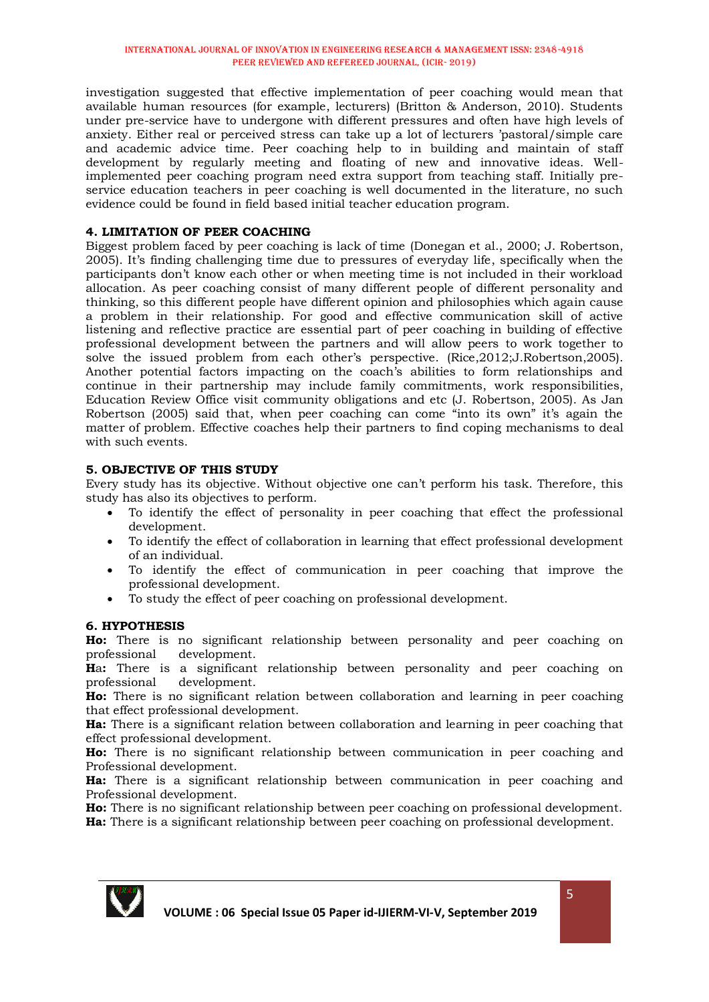investigation suggested that effective implementation of peer coaching would mean that available human resources (for example, lecturers) (Britton & Anderson, 2010). Students under pre-service have to undergone with different pressures and often have high levels of anxiety. Either real or perceived stress can take up a lot of lecturers 'pastoral/simple care and academic advice time. Peer coaching help to in building and maintain of staff development by regularly meeting and floating of new and innovative ideas. Wellimplemented peer coaching program need extra support from teaching staff. Initially preservice education teachers in peer coaching is well documented in the literature, no such evidence could be found in field based initial teacher education program.

# **4. LIMITATION OF PEER COACHING**

Biggest problem faced by peer coaching is lack of time (Donegan et al., 2000; J. Robertson, 2005). It's finding challenging time due to pressures of everyday life, specifically when the participants don't know each other or when meeting time is not included in their workload allocation. As peer coaching consist of many different people of different personality and thinking, so this different people have different opinion and philosophies which again cause a problem in their relationship. For good and effective communication skill of active listening and reflective practice are essential part of peer coaching in building of effective professional development between the partners and will allow peers to work together to solve the issued problem from each other's perspective. (Rice,2012;J.Robertson,2005). Another potential factors impacting on the coach's abilities to form relationships and continue in their partnership may include family commitments, work responsibilities, Education Review Office visit community obligations and etc (J. Robertson, 2005). As Jan Robertson (2005) said that, when peer coaching can come "into its own" it's again the matter of problem. Effective coaches help their partners to find coping mechanisms to deal with such events.

#### **5. OBJECTIVE OF THIS STUDY**

Every study has its objective. Without objective one can't perform his task. Therefore, this study has also its objectives to perform.

- To identify the effect of personality in peer coaching that effect the professional development.
- To identify the effect of collaboration in learning that effect professional development of an individual.
- To identify the effect of communication in peer coaching that improve the professional development.
- To study the effect of peer coaching on professional development.

#### **6. HYPOTHESIS**

**Ho:** There is no significant relationship between personality and peer coaching on professional development.

**H**a**:** There is a significant relationship between personality and peer coaching on professional development.

**Ho:** There is no significant relation between collaboration and learning in peer coaching that effect professional development.

**Ha:** There is a significant relation between collaboration and learning in peer coaching that effect professional development.

**Ho:** There is no significant relationship between communication in peer coaching and Professional development.

**Ha:** There is a significant relationship between communication in peer coaching and Professional development.

**Ho:** There is no significant relationship between peer coaching on professional development. **Ha:** There is a significant relationship between peer coaching on professional development.

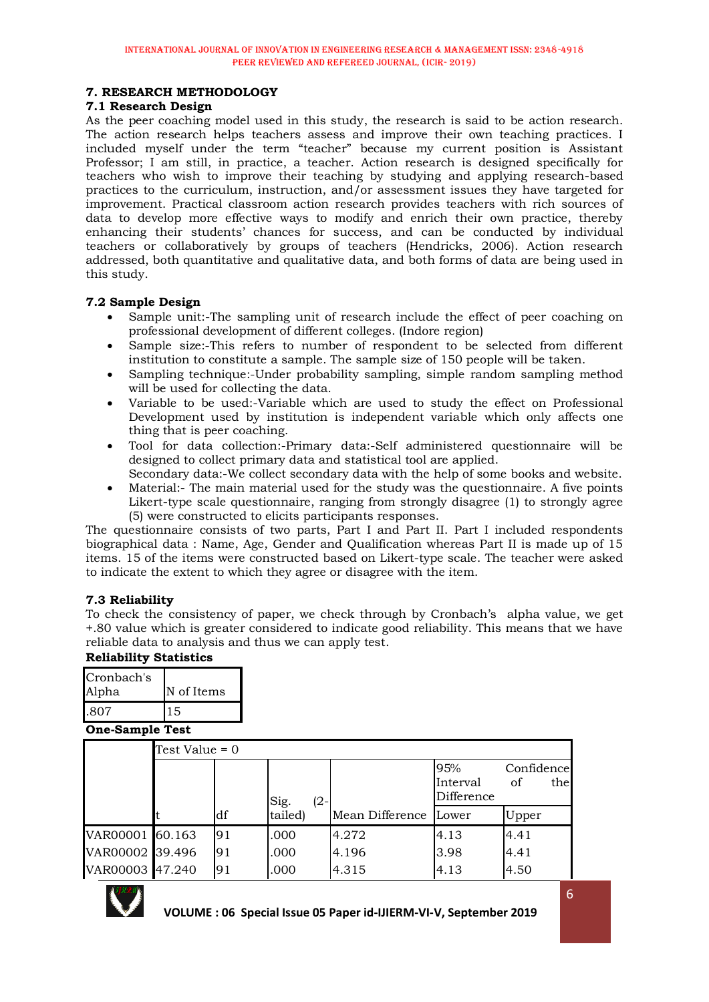#### **7. RESEARCH METHODOLOGY**

#### **7.1 Research Design**

As the peer coaching model used in this study, the research is said to be action research. The action research helps teachers assess and improve their own teaching practices. I included myself under the term "teacher" because my current position is Assistant Professor; I am still, in practice, a teacher. Action research is designed specifically for teachers who wish to improve their teaching by studying and applying research-based practices to the curriculum, instruction, and/or assessment issues they have targeted for improvement. Practical classroom action research provides teachers with rich sources of data to develop more effective ways to modify and enrich their own practice, thereby enhancing their students' chances for success, and can be conducted by individual teachers or collaboratively by groups of teachers (Hendricks, 2006). Action research addressed, both quantitative and qualitative data, and both forms of data are being used in this study.

# **7.2 Sample Design**

- Sample unit:-The sampling unit of research include the effect of peer coaching on professional development of different colleges. (Indore region)
- Sample size:-This refers to number of respondent to be selected from different institution to constitute a sample. The sample size of 150 people will be taken.
- Sampling technique:-Under probability sampling, simple random sampling method will be used for collecting the data.
- Variable to be used:-Variable which are used to study the effect on Professional Development used by institution is independent variable which only affects one thing that is peer coaching.
- Tool for data collection:-Primary data:-Self administered questionnaire will be designed to collect primary data and statistical tool are applied.
- Secondary data:-We collect secondary data with the help of some books and website.
- Material:- The main material used for the study was the questionnaire. A five points Likert-type scale questionnaire, ranging from strongly disagree (1) to strongly agree (5) were constructed to elicits participants responses.

The questionnaire consists of two parts, Part I and Part II. Part I included respondents biographical data : Name, Age, Gender and Qualification whereas Part II is made up of 15 items. 15 of the items were constructed based on Likert-type scale. The teacher were asked to indicate the extent to which they agree or disagree with the item.

#### **7.3 Reliability**

To check the consistency of paper, we check through by Cronbach's alpha value, we get +.80 value which is greater considered to indicate good reliability. This means that we have reliable data to analysis and thus we can apply test.

#### **Reliability Statistics**

| Cronbach's<br>Alpha | N of Items |
|---------------------|------------|
| .807                | 15         |

#### **One-Sample Test**

|                 | Test Value = 0 |     |                |                 |                               |                         |  |  |  |
|-----------------|----------------|-----|----------------|-----------------|-------------------------------|-------------------------|--|--|--|
|                 |                |     | Sig.<br>$(2 -$ |                 | 95%<br>Interval<br>Difference | Confidence<br>οf<br>the |  |  |  |
|                 |                | df  | tailed)        | Mean Difference | Lower                         | Upper                   |  |  |  |
| VAR00001 60.163 |                | 91  | .000           | 4.272           | 4.13                          | 4.41                    |  |  |  |
| VAR00002 39.496 |                | l91 | .000           | 4.196           | 3.98                          | 4.41                    |  |  |  |
| VAR00003 47.240 |                | 91  | .000           | 4.315           | 4.13                          | 4.50                    |  |  |  |

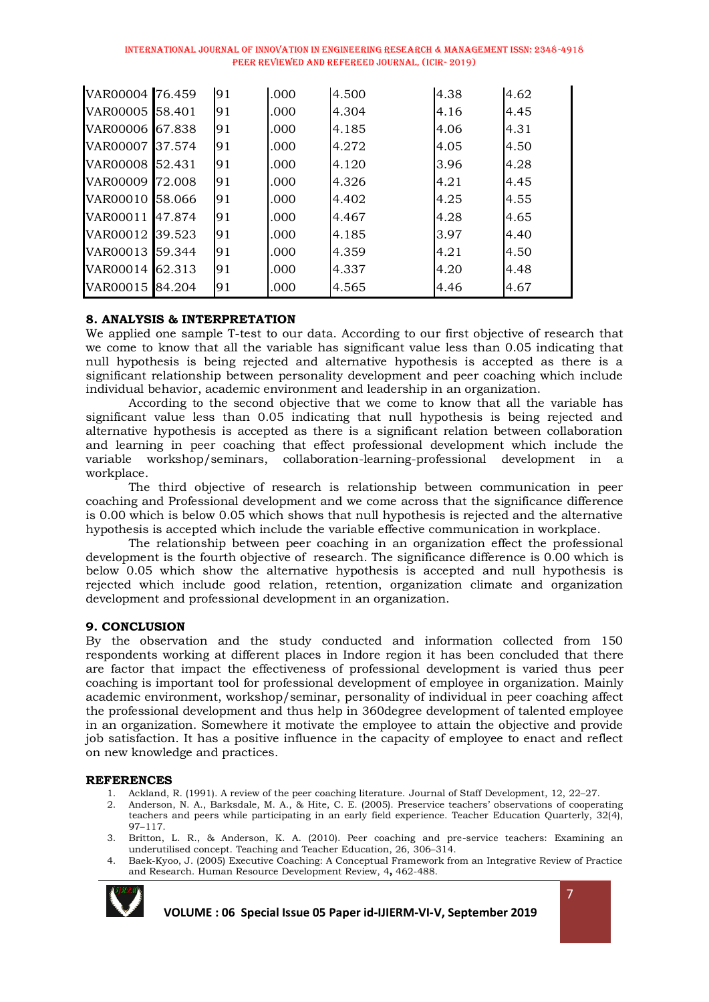| INTERNATIONAL JOURNAL OF INNOVATION IN ENGINEERING RESEARCH & MANAGEMENT ISSN: 2348-4918 |  |
|------------------------------------------------------------------------------------------|--|
| PEER REVIEWED AND REFEREED JOURNAL, (ICIR- 2019)                                         |  |

| VAR00004 76.459 |        | 91 | .000 | 4.500 | 4.38 | 4.62 |
|-----------------|--------|----|------|-------|------|------|
| VAR00005 58.401 |        | 91 | .000 | 4.304 | 4.16 | 4.45 |
| VAR00006 67.838 |        | 91 | .000 | 4.185 | 4.06 | 4.31 |
| VAR00007 37.574 |        | 91 | .000 | 4.272 | 4.05 | 4.50 |
| VAR00008 52.431 |        | 91 | .000 | 4.120 | 3.96 | 4.28 |
| VAR00009 72.008 |        | 91 | .000 | 4.326 | 4.21 | 4.45 |
| VAR00010 58.066 |        | 91 | .000 | 4.402 | 4.25 | 4.55 |
| VAR00011        | 47.874 | 91 | .000 | 4.467 | 4.28 | 4.65 |
| VAR00012 39.523 |        | 91 | .000 | 4.185 | 3.97 | 4.40 |
| VAR00013 59.344 |        | 91 | .000 | 4.359 | 4.21 | 4.50 |
| VAR00014 62.313 |        | 91 | .000 | 4.337 | 4.20 | 4.48 |
| VAR00015 84.204 |        | 91 | .000 | 4.565 | 4.46 | 4.67 |

#### **8. ANALYSIS & INTERPRETATION**

We applied one sample T-test to our data. According to our first objective of research that we come to know that all the variable has significant value less than 0.05 indicating that null hypothesis is being rejected and alternative hypothesis is accepted as there is a significant relationship between personality development and peer coaching which include individual behavior, academic environment and leadership in an organization.

According to the second objective that we come to know that all the variable has significant value less than 0.05 indicating that null hypothesis is being rejected and alternative hypothesis is accepted as there is a significant relation between collaboration and learning in peer coaching that effect professional development which include the variable workshop/seminars, collaboration-learning-professional development in a workplace.

The third objective of research is relationship between communication in peer coaching and Professional development and we come across that the significance difference is 0.00 which is below 0.05 which shows that null hypothesis is rejected and the alternative hypothesis is accepted which include the variable effective communication in workplace.

The relationship between peer coaching in an organization effect the professional development is the fourth objective of research. The significance difference is 0.00 which is below 0.05 which show the alternative hypothesis is accepted and null hypothesis is rejected which include good relation, retention, organization climate and organization development and professional development in an organization.

#### **9. CONCLUSION**

By the observation and the study conducted and information collected from 150 respondents working at different places in Indore region it has been concluded that there are factor that impact the effectiveness of professional development is varied thus peer coaching is important tool for professional development of employee in organization. Mainly academic environment, workshop/seminar, personality of individual in peer coaching affect the professional development and thus help in 360degree development of talented employee in an organization. Somewhere it motivate the employee to attain the objective and provide job satisfaction. It has a positive influence in the capacity of employee to enact and reflect on new knowledge and practices.

#### **REFERENCES**

- 1. Ackland, R. (1991). A review of the peer coaching literature. Journal of Staff Development, 12, 22–27.
- 2. Anderson, N. A., Barksdale, M. A., & Hite, C. E. (2005). Preservice teachers' observations of cooperating teachers and peers while participating in an early field experience. Teacher Education Quarterly, 32(4), 97–117.
- 3. Britton, L. R., & Anderson, K. A. (2010). Peer coaching and pre-service teachers: Examining an underutilised concept. Teaching and Teacher Education, 26, 306–314.
- 4. Baek-Kyoo, J. (2005) Executive Coaching: A Conceptual Framework from an Integrative Review of Practice and Research. Human Resource Development Review, 4**,** 462-488.